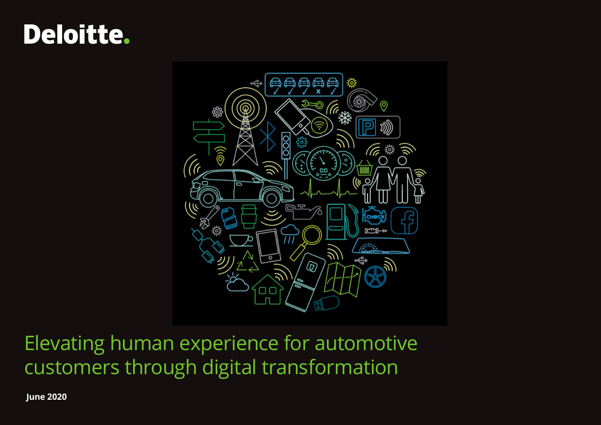# **Deloitte.**



Elevating human experience for automotive customers through digital transformation

 **June 2020**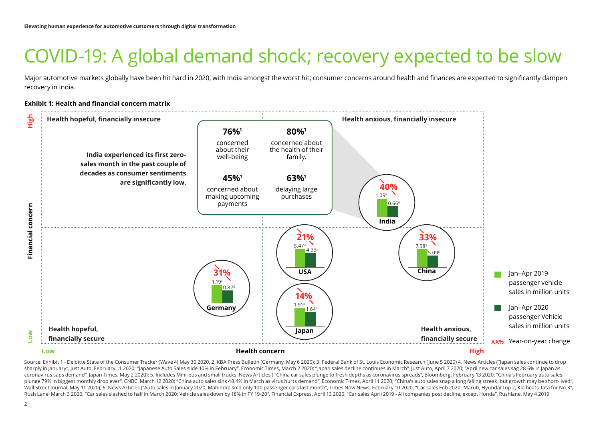# COVID-19: A global demand shock; recovery expected to be slow

Major automotive markets globally have been hit hard in 2020, with India amongst the worst hit; consumer concerns around health and finances are expected to significantly dampen recovery in India.

#### **Exhibit 1: Health and financial concern matrix**



Source: Exhibit 1 - Deloitte State of the Consumer Tracker (Wave 4) May 30 2020, 2. KBA Press Bulletin (Germany, May 6 2020); 3. Federal Bank of St. Louis Economic Research (June 5 2020) 4. News Articles ("Japan sales cont sharply in January", Just Auto, February 11 2020; "Japanese Auto Sales slide 10% in February", Economic Times, March 2 2020; "Japan sales decline continues in March", Just Auto, April 7 2020; "April new car sales sag 28.6% coronavirus saps demand", lapan Times, May 2 2020); 5. Includes Mini-bus and small trucks, News Articles ("China car sales plunge to fresh depths as coronavirus spreads", Bloomberg, February 13 2020; "China's February auto plunge 79% in biggest monthly drop ever", CNBC, March 12 2020; "China auto sales sink 48.4% in March as virus hurts demand", Economic Times, April 11 2020; "China's auto sales snap a long falling streak, but growth may be Wall Street Journal, May 11 2020); 6. News Articles ("Auto sales in January 2020, Mahindra sold only 100 passenger cars last month", Times Now News, February 10 2020; "Car sales Feb 2020- Maruti, Hyundai Top 2, Kia beats T Rush Lane, March 3 2020; "Car sales slashed to half in March 2020; Vehicle sales down by 18% in FY 19-20", Financial Express, April 13 2020, "Car sales April 2019 - All companies post decline, except Honda", Rushlane, May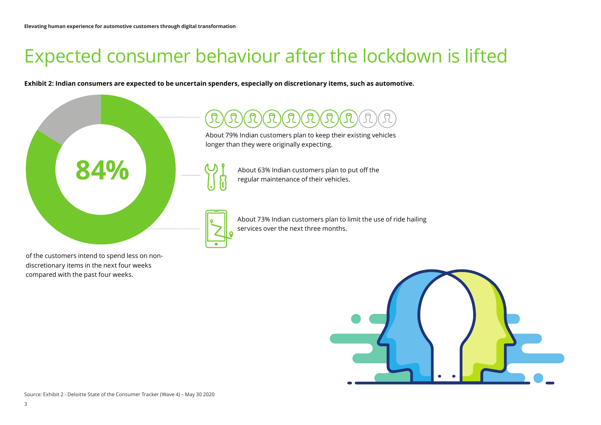# Expected consumer behaviour after the lockdown is lifted

**Exhibit 2: Indian consumers are expected to be uncertain spenders, especially on discretionary items, such as automotive.**



About 79% Indian customers plan to keep their existing vehicles longer than they were originally expecting.



About 63% Indian customers plan to put off the regular maintenance of their vehicles.

About 73% Indian customers plan to limit the use of ride hailing services over the next three months.

of the customers intend to spend less on nondiscretionary items in the next four weeks compared with the past four weeks.

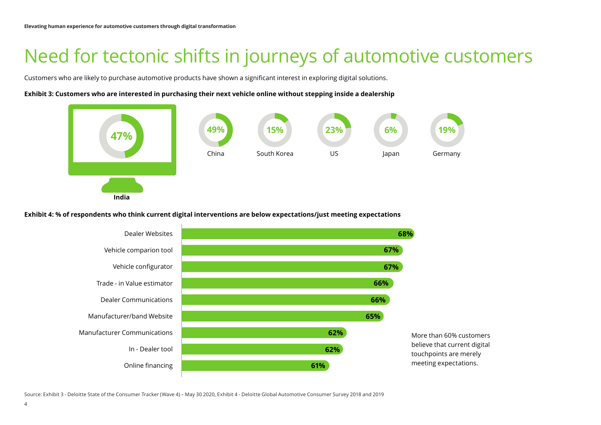### Need for tectonic shifts in journeys of automotive customers

Customers who are likely to purchase automotive products have shown a significant interest in exploring digital solutions.

#### **Exhibit 3: Customers who are interested in purchasing their next vehicle online without stepping inside a dealership**



**Exhibit 4: % of respondents who think current digital interventions are below expectations/just meeting expectations**



Source: Exhibit 3 - Deloitte State of the Consumer Tracker (Wave 4) – May 30 2020, Exhibit 4 - Deloitte Global Automotive Consumer Survey 2018 and 2019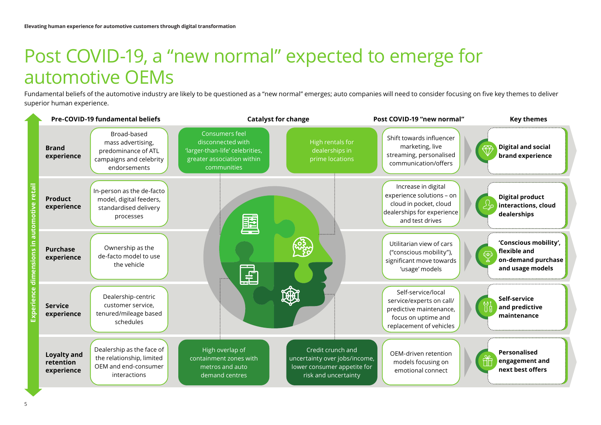## Post COVID-19, a "new normal" expected to emerge for automotive OEMs

Fundamental beliefs of the automotive industry are likely to be questioned as a "new normal" emerges; auto companies will need to consider focusing on five key themes to deliver superior human experience.

|  | Pre-COVID-19 fundamental beliefs              |                                                                                                    | <b>Catalyst for change</b>                                                                                          |                                                                                                           | Post COVID-19 "new normal"                                                                                                  | <b>Key themes</b>                                                                                             |
|--|-----------------------------------------------|----------------------------------------------------------------------------------------------------|---------------------------------------------------------------------------------------------------------------------|-----------------------------------------------------------------------------------------------------------|-----------------------------------------------------------------------------------------------------------------------------|---------------------------------------------------------------------------------------------------------------|
|  | <b>Brand</b><br>experience                    | Broad-based<br>mass advertising,<br>predominance of ATL<br>campaigns and celebrity<br>endorsements | Consumers feel<br>disconnected with<br>'larger-than-life' celebrities,<br>greater association within<br>communities | High rentals for<br>dealerships in<br>prime locations                                                     | Shift towards influencer<br>marketing, live<br>streaming, personalised<br>communication/offers                              | <b>Digital and social</b><br>brand experience                                                                 |
|  | <b>Product</b><br>experience                  | In-person as the de-facto<br>model, digital feeders,<br>standardised delivery<br>processes         | E                                                                                                                   |                                                                                                           | Increase in digital<br>experience solutions - on<br>cloud in pocket, cloud<br>dealerships for experience<br>and test drives | <b>Digital product</b><br>interactions, cloud<br>dealerships                                                  |
|  | <b>Purchase</b><br>experience                 | Ownership as the<br>de-facto model to use<br>the vehicle                                           | E                                                                                                                   |                                                                                                           | Utilitarian view of cars<br>("conscious mobility"),<br>significant move towards<br>'usage' models                           | 'Conscious mobility',<br>flexible and<br>$\left(\frac{1}{k}\right)$<br>on-demand purchase<br>and usage models |
|  | <b>Service</b><br>experience                  | Dealership-centric<br>customer service,<br>tenured/mileage based<br>schedules                      |                                                                                                                     | 3                                                                                                         | Self-service/local<br>service/experts on call/<br>predictive maintenance,<br>focus on uptime and<br>replacement of vehicles | Self-service<br>and predictive<br>maintenance                                                                 |
|  | <b>Loyalty and</b><br>retention<br>experience | Dealership as the face of<br>the relationship, limited<br>OEM and end-consumer<br>interactions     | High overlap of<br>containment zones with<br>metros and auto<br>demand centres                                      | Credit crunch and<br>uncertainty over jobs/income,<br>lower consumer appetite for<br>risk and uncertainty | OEM-driven retention<br>models focusing on<br>emotional connect                                                             | <b>Personalised</b><br>engagement and<br>next best offers                                                     |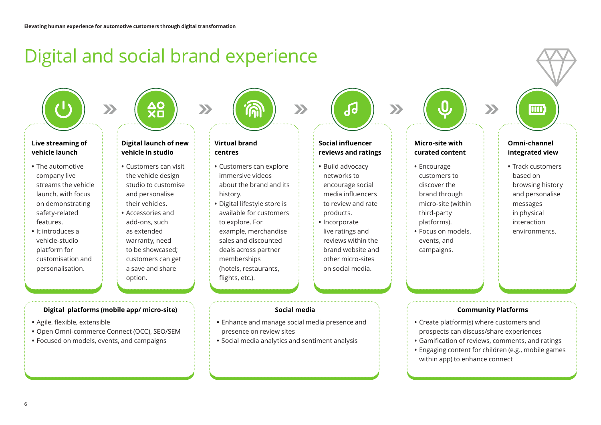### Digital and social brand experience

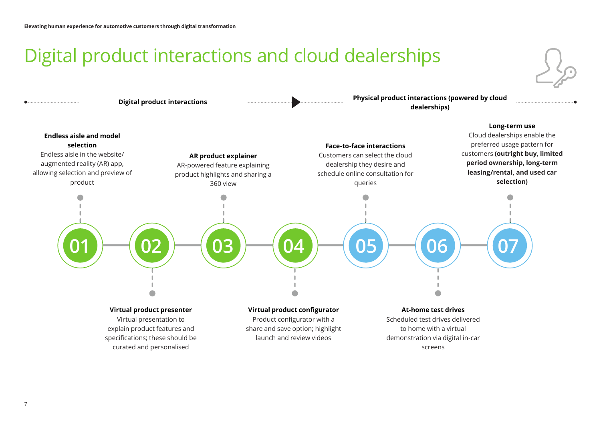### Digital product interactions and cloud dealerships

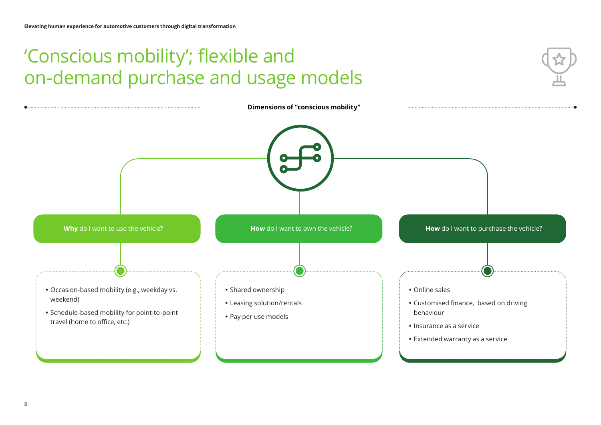# 'Conscious mobility'; flexible and on-demand purchase and usage models

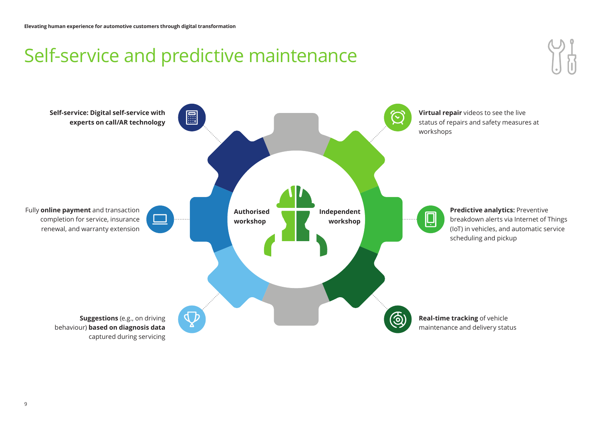# Self-service and predictive maintenance

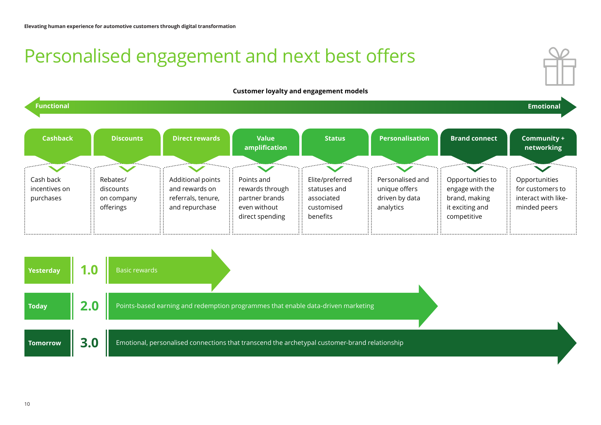# Personalised engagement and next best offers



#### **Customer loyalty and engagement models**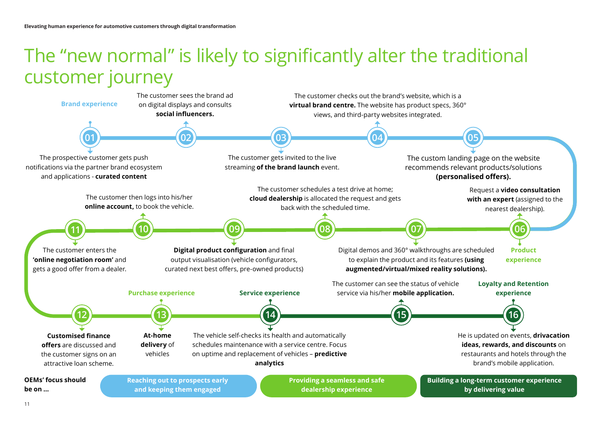#### The "new normal" is likely to significantly alter the traditional customer journey

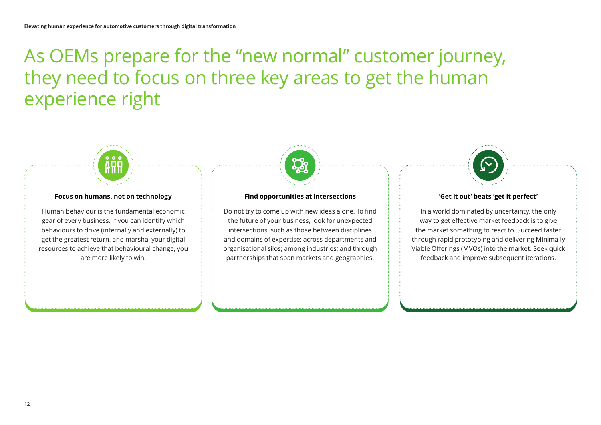## As OEMs prepare for the "new normal" customer journey, they need to focus on three key areas to get the human experience right

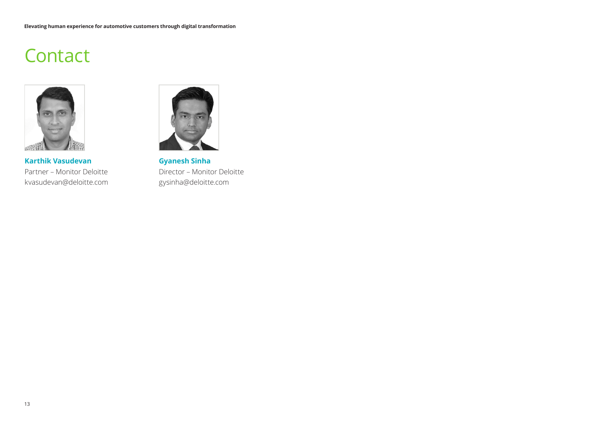### **Contact**



**Karthik Vasudevan** Partner – Monitor Deloitte kvasudevan@deloitte.com



**Gyanesh Sinha** Director – Monitor Deloitte gysinha@deloitte.com